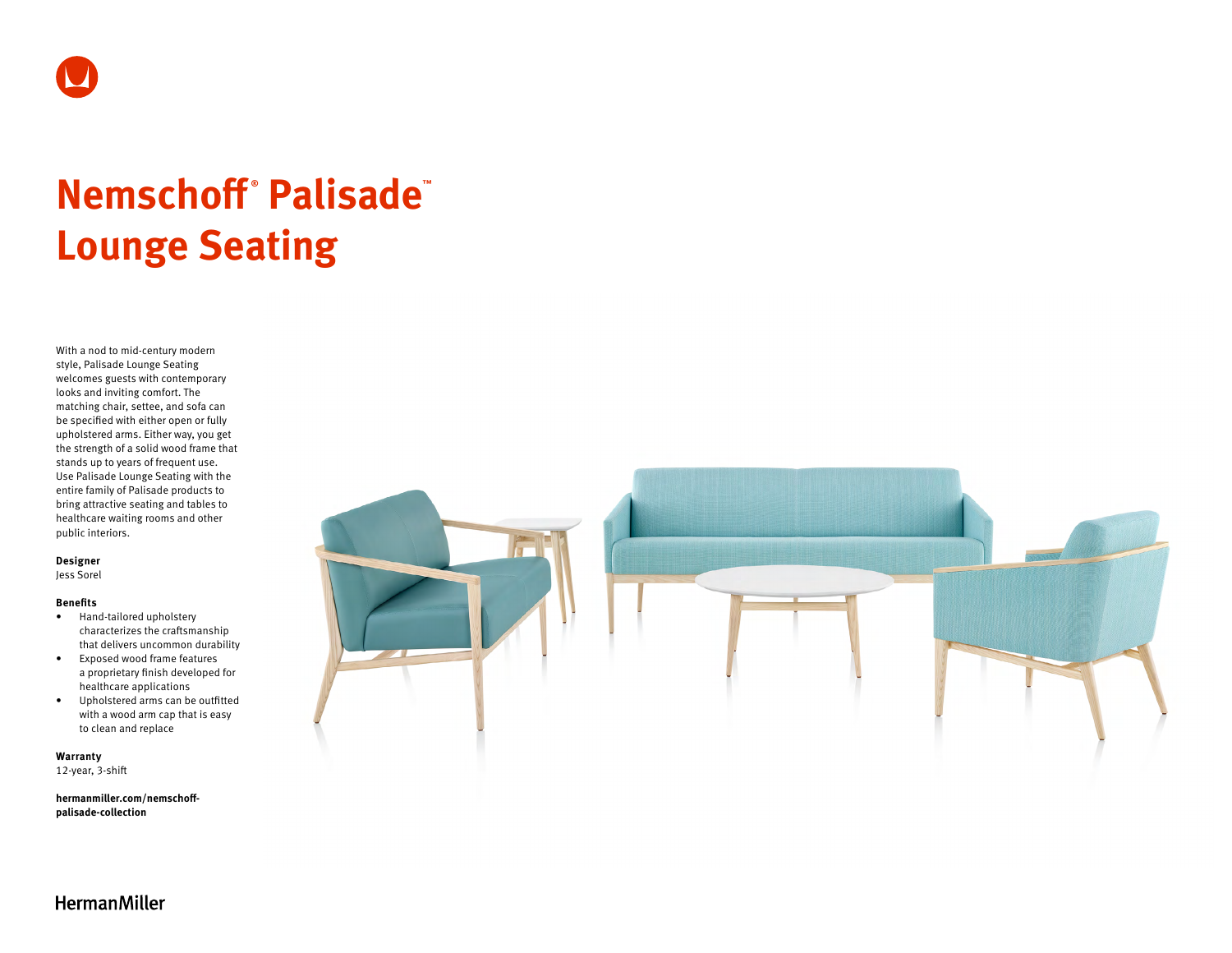

# **Nemschoff ® Palisade™ Lounge Seating**

With a nod to mid-century modern style, Palisade Lounge Seating welcomes guests with contemporary looks and inviting comfort. The matching chair, settee, and sofa can be specified with either open or fully upholstered arms. Either way, you get the strength of a solid wood frame that stands up to years of frequent use. Use Palisade Lounge Seating with the entire family of Palisade products to bring attractive seating and tables to healthcare waiting rooms and other public interiors.

### **Designer**

Jess Sorel

### **Benefits**

- Hand-tailored upholstery characterizes the craftsmanship that delivers uncommon durability
- Exposed wood frame features a proprietary finish developed for healthcare applications
- Upholstered arms can be outfitted with a wood arm cap that is easy to clean and replace

**Warranty**  12-year, 3-shift

**[hermanmiller.com/nemschoff](http://hermanmiller.com/nemschoff-palisade-collection)[palisade-collection](http://hermanmiller.com/nemschoff-palisade-collection)**



**HermanMiller**